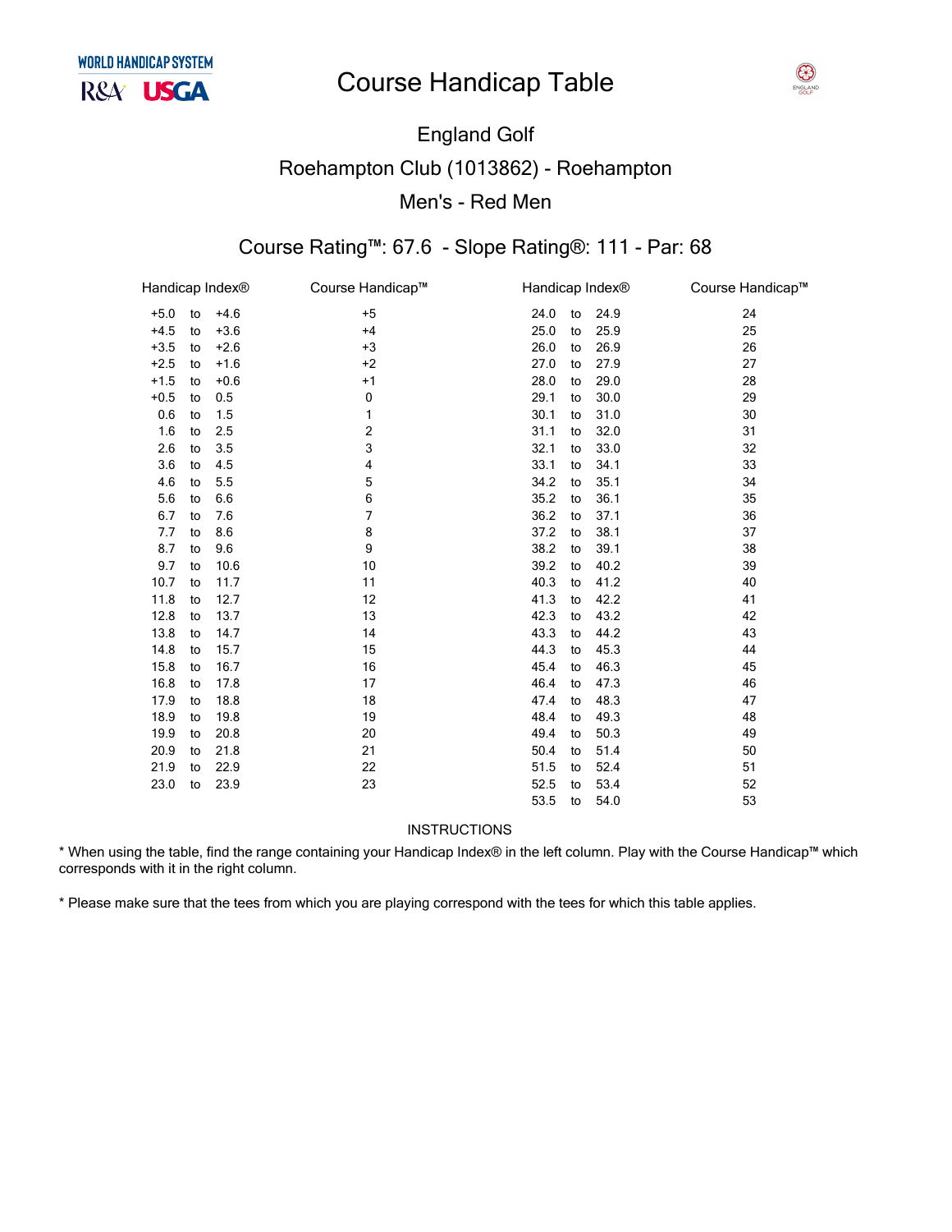# England Golf Roehampton Club (1013862) - Roehampton Men's - Red

### Course Rating™: 67.6 - Slope Rating®: 111

| Handicap Index <sup>®</sup> |    |        | Course Handicap™ |      | Handicap Index <sup>®</sup> |      | Course Handicap™ |
|-----------------------------|----|--------|------------------|------|-----------------------------|------|------------------|
| $+5.0$                      | to | $+4.6$ | $+5$             | 24.0 | to                          | 24.9 | 24               |
| $+4.5$                      | to | $+3.6$ | $+4$             | 25.0 | to                          | 25.9 | 25               |
| $+3.5$                      | to | $+2.6$ | $+3$             | 26.0 | to                          | 26.9 | 26               |
| $+2.5$                      | to | $+1.6$ | $+2$             | 27.0 | to                          | 27.9 | 27               |
| $+1.5$                      | to | $+0.6$ | $+1$             | 28.0 | to                          | 29.0 | 28               |
| $+0.5$                      | to | 0.5    | 0                | 29.1 | to                          | 30.0 | 29               |
| 0.6                         | to | 1.5    | 1                | 30.1 | to                          | 31.0 | 30               |
| 1.6                         | to | 2.5    | 2                | 31.1 | to                          | 32.0 | 31               |
| 2.6                         | to | 3.5    | 3                | 32.1 | to                          | 33.0 | 32               |
| 3.6                         | to | 4.5    | 4                | 33.1 | to                          | 34.1 | 33               |
| 4.6                         | to | 5.5    | 5                | 34.2 | to                          | 35.1 | 34               |
| 5.6                         | to | 6.6    | 6                | 35.2 | to                          | 36.1 | 35               |
| 6.7                         | to | 7.6    | $\overline{7}$   | 36.2 | to                          | 37.1 | 36               |
| 7.7                         | to | 8.6    | 8                | 37.2 | to                          | 38.1 | 37               |
| 8.7                         | to | 9.6    | 9                | 38.2 | to                          | 39.1 | 38               |
| 9.7                         | to | 10.6   | 10               | 39.2 | to                          | 40.2 | 39               |
| 10.7                        | to | 11.7   | 11               | 40.3 | to                          | 41.2 | 40               |
| 11.8                        | to | 12.7   | 12               | 41.3 | to                          | 42.2 | 41               |
| 12.8                        | to | 13.7   | 13               | 42.3 | to                          | 43.2 | 42               |
| 13.8                        | to | 14.7   | 14               | 43.3 | to                          | 44.2 | 43               |
| 14.8                        | to | 15.7   | 15               | 44.3 | to                          | 45.3 | 44               |
| 15.8                        | to | 16.7   | 16               | 45.4 | to                          | 46.3 | 45               |
| 16.8                        | to | 17.8   | 17               | 46.4 | to                          | 47.3 | 46               |
| 17.9                        | to | 18.8   | 18               | 47.4 | to                          | 48.3 | 47               |
| 18.9                        | to | 19.8   | 19               | 48.4 | to                          | 49.3 | 48               |
| 19.9                        | to | 20.8   | 20               | 49.4 | to                          | 50.3 | 49               |
| 20.9                        | to | 21.8   | 21               | 50.4 | to                          | 51.4 | 50               |
| 21.9                        | to | 22.9   | 22               | 51.5 | to                          | 52.4 | 51               |
| 23.0                        | to | 23.9   | 23               | 52.5 | to                          | 53.4 | 52               |
|                             |    |        |                  | 53.5 | to                          | 54.0 | 53               |

### INSTRUCTIONS

\* When using the table, find the range containing your Handicap Index® in the left column. Play with the Course Handicap™ which corresponds with it in the right column.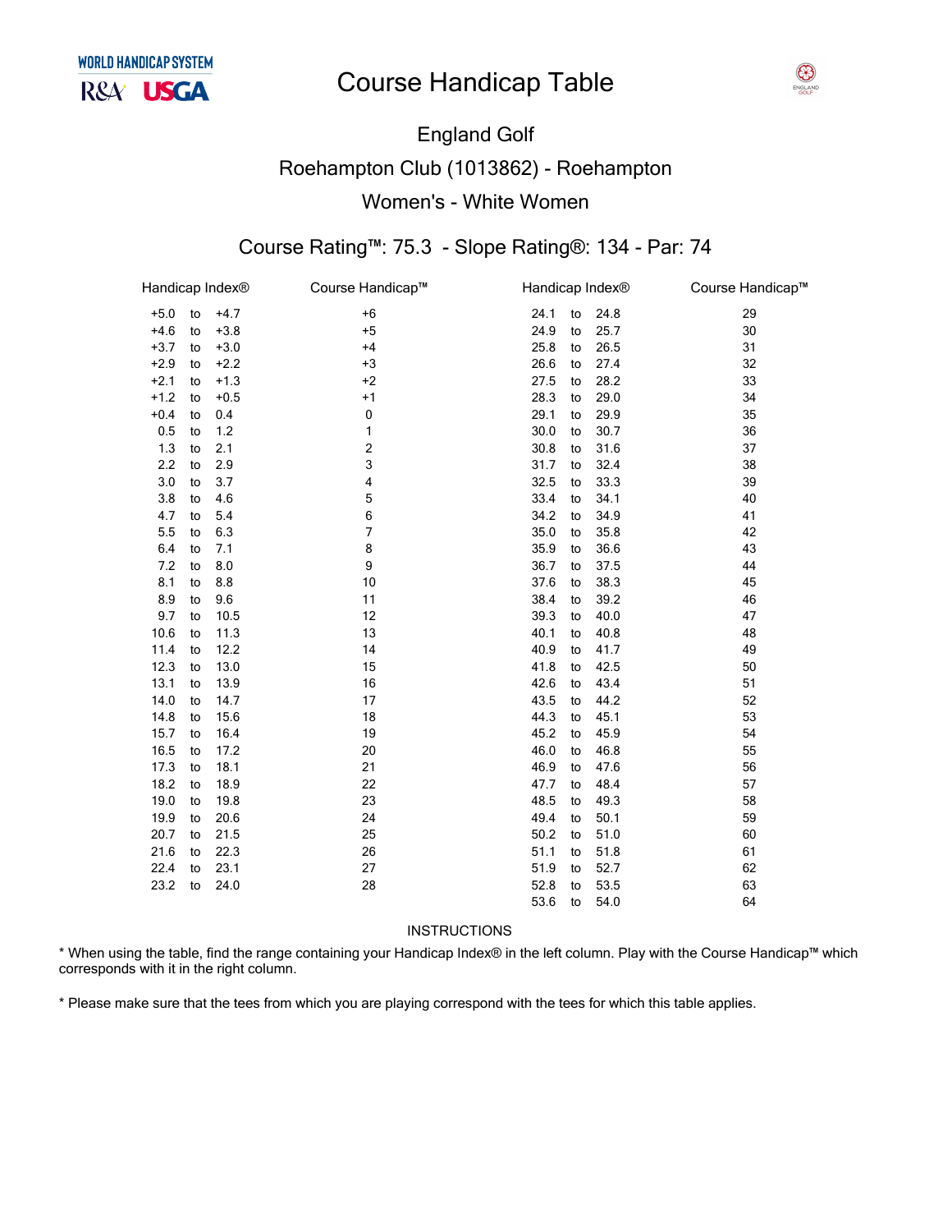

# England Golf Roehampton Club (1013862) - Roehampton Women's - White

### Course Rating™: 75.3 - Slope Rating®: 134

| Handicap Index® |    |        | Course Handicap™ | Handicap Index® |    |      | Course Handicap™ |
|-----------------|----|--------|------------------|-----------------|----|------|------------------|
| $+5.0$          | to | $+4.7$ | $+6$             | 24.1            | to | 24.8 | 29               |
| $+4.6$          | to | $+3.8$ | $+5$             | 24.9            | to | 25.7 | 30               |
| $+3.7$          | to | $+3.0$ | $+4$             | 25.8            | to | 26.5 | 31               |
| $+2.9$          | to | $+2.2$ | $+3$             | 26.6            | to | 27.4 | 32               |
| $+2.1$          | to | $+1.3$ | $+2$             | 27.5            | to | 28.2 | 33               |
| $+1.2$          | to | $+0.5$ | $+1$             | 28.3            | to | 29.0 | 34               |
| $+0.4$          | to | 0.4    | 0                | 29.1            | to | 29.9 | 35               |
| 0.5             | to | 1.2    | 1                | 30.0            | to | 30.7 | 36               |
| 1.3             | to | 2.1    | 2                | 30.8            | to | 31.6 | 37               |
| 2.2             | to | 2.9    | 3                | 31.7            | to | 32.4 | 38               |
| 3.0             | to | 3.7    | 4                | 32.5            | to | 33.3 | 39               |
| 3.8             | to | 4.6    | 5                | 33.4            | to | 34.1 | 40               |
| 4.7             | to | 5.4    | 6                | 34.2            | to | 34.9 | 41               |
| 5.5             | to | 6.3    | 7                | 35.0            | to | 35.8 | 42               |
| 6.4             | to | 7.1    | 8                | 35.9            | to | 36.6 | 43               |
| 7.2             | to | 8.0    | 9                | 36.7            | to | 37.5 | 44               |
| 8.1             | to | 8.8    | 10               | 37.6            | to | 38.3 | 45               |
| 8.9             | to | 9.6    | 11               | 38.4            | to | 39.2 | 46               |
| 9.7             | to | 10.5   | 12               | 39.3            | to | 40.0 | 47               |
| 10.6            | to | 11.3   | 13               | 40.1            | to | 40.8 | 48               |
| 11.4            | to | 12.2   | 14               | 40.9            | to | 41.7 | 49               |
| 12.3            | to | 13.0   | 15               | 41.8            | to | 42.5 | 50               |
| 13.1            | to | 13.9   | 16               | 42.6            | to | 43.4 | 51               |
| 14.0            | to | 14.7   | 17               | 43.5            | to | 44.2 | 52               |
| 14.8            | to | 15.6   | 18               | 44.3            | to | 45.1 | 53               |
| 15.7            | to | 16.4   | 19               | 45.2            | to | 45.9 | 54               |
| 16.5            | to | 17.2   | 20               | 46.0            | to | 46.8 | 55               |
| 17.3            | to | 18.1   | 21               | 46.9            | to | 47.6 | 56               |
| 18.2            | to | 18.9   | 22               | 47.7            | to | 48.4 | 57               |
| 19.0            | to | 19.8   | 23               | 48.5            | to | 49.3 | 58               |
| 19.9            | to | 20.6   | 24               | 49.4            | to | 50.1 | 59               |
| 20.7            | to | 21.5   | 25               | 50.2            | to | 51.0 | 60               |
| 21.6            | to | 22.3   | 26               | 51.1            | to | 51.8 | 61               |
| 22.4            | to | 23.1   | 27               | 51.9            | to | 52.7 | 62               |
| 23.2            | to | 24.0   | 28               | 52.8            | to | 53.5 | 63               |
|                 |    |        |                  | 53.6            | to | 54.0 | 64               |
|                 |    |        |                  |                 |    |      |                  |

#### INSTRUCTIONS

\* When using the table, find the range containing your Handicap Index® in the left column. Play with the Course Handicap™ which corresponds with it in the right column.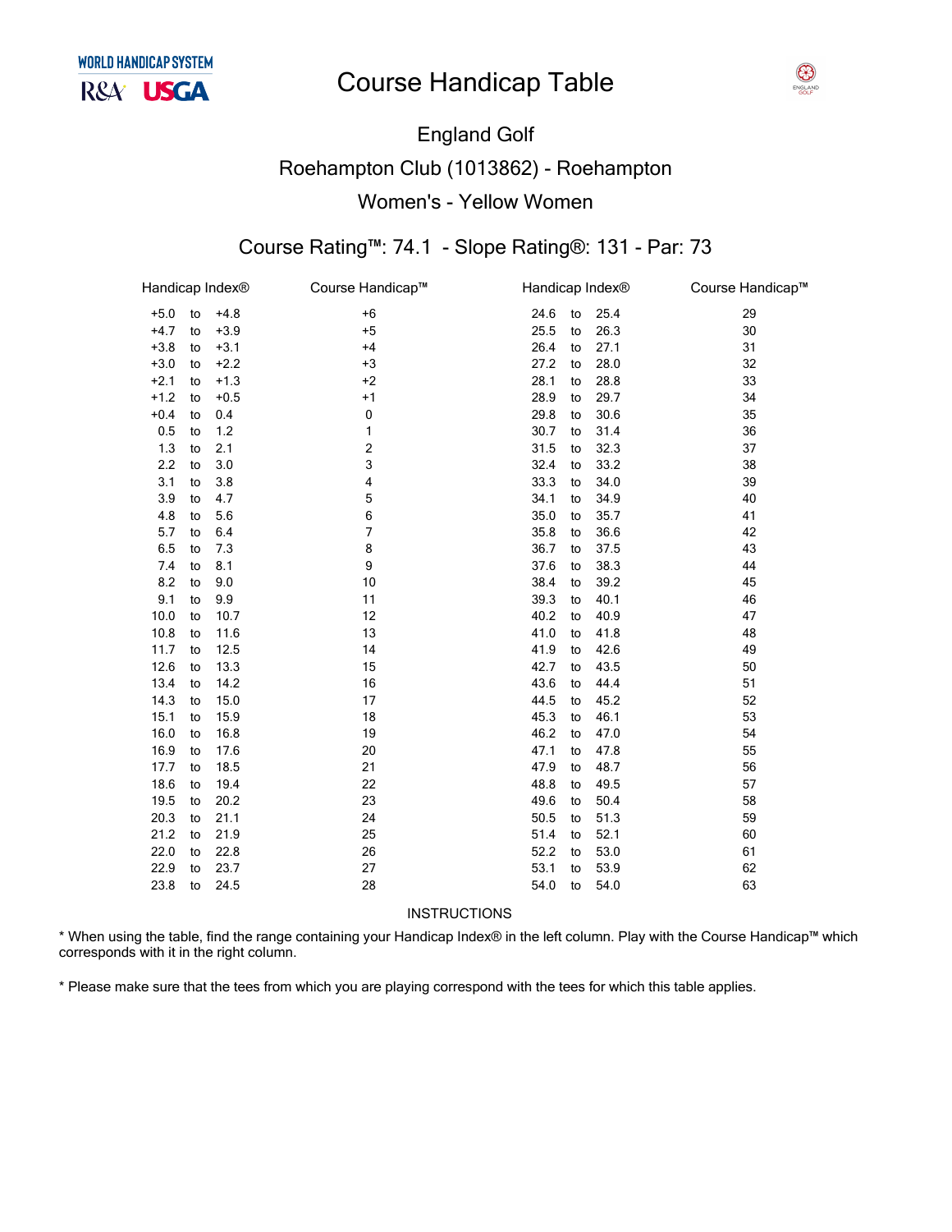

# England Golf Roehampton Club (1013862) - Roehampton Women's - Yellow

### Course Rating™: 74.1 - Slope Rating®: 131

| Handicap Index® |    |        | Course Handicap™ | Handicap Index® |    |      | Course Handicap™ |
|-----------------|----|--------|------------------|-----------------|----|------|------------------|
| $+5.0$          | to | $+4.8$ | $+6$             | 24.6            | to | 25.4 | 29               |
| $+4.7$          | to | $+3.9$ | $+5$             | 25.5            | to | 26.3 | 30               |
| $+3.8$          | to | $+3.1$ | $+4$             | 26.4            | to | 27.1 | 31               |
| $+3.0$          | to | $+2.2$ | $+3$             | 27.2            | to | 28.0 | 32               |
| $+2.1$          | to | $+1.3$ | $+2$             | 28.1            | to | 28.8 | 33               |
| $+1.2$          | to | $+0.5$ | $+1$             | 28.9            | to | 29.7 | 34               |
| $+0.4$          | to | 0.4    | $\pmb{0}$        | 29.8            | to | 30.6 | 35               |
| 0.5             | to | 1.2    | 1                | 30.7            | to | 31.4 | 36               |
| $1.3$           | to | 2.1    | 2                | 31.5            | to | 32.3 | 37               |
| 2.2             | to | 3.0    | 3                | 32.4            | to | 33.2 | 38               |
| 3.1             | to | 3.8    | 4                | 33.3            | to | 34.0 | 39               |
| 3.9             | to | 4.7    | 5                | 34.1            | to | 34.9 | 40               |
| 4.8             | to | 5.6    | 6                | 35.0            | to | 35.7 | 41               |
| 5.7             | to | 6.4    | 7                | 35.8            | to | 36.6 | 42               |
| 6.5             | to | 7.3    | 8                | 36.7            | to | 37.5 | 43               |
| 7.4             | to | 8.1    | 9                | 37.6            | to | 38.3 | 44               |
| 8.2             | to | 9.0    | 10               | 38.4            | to | 39.2 | 45               |
| 9.1             | to | 9.9    | 11               | 39.3            | to | 40.1 | 46               |
| 10.0            | to | 10.7   | 12               | 40.2            | to | 40.9 | 47               |
| 10.8            | to | 11.6   | 13               | 41.0            | to | 41.8 | 48               |
| 11.7            | to | 12.5   | 14               | 41.9            | to | 42.6 | 49               |
| 12.6            | to | 13.3   | 15               | 42.7            | to | 43.5 | 50               |
| 13.4            | to | 14.2   | 16               | 43.6            | to | 44.4 | 51               |
| 14.3            | to | 15.0   | 17               | 44.5            | to | 45.2 | 52               |
| 15.1            | to | 15.9   | 18               | 45.3            | to | 46.1 | 53               |
| 16.0            | to | 16.8   | 19               | 46.2            | to | 47.0 | 54               |
| 16.9            | to | 17.6   | 20               | 47.1            | to | 47.8 | 55               |
| 17.7            | to | 18.5   | 21               | 47.9            | to | 48.7 | 56               |
| 18.6            | to | 19.4   | 22               | 48.8            | to | 49.5 | 57               |
| 19.5            | to | 20.2   | 23               | 49.6            | to | 50.4 | 58               |
| 20.3            | to | 21.1   | 24               | 50.5            | to | 51.3 | 59               |
| 21.2            | to | 21.9   | 25               | 51.4            | to | 52.1 | 60               |
| 22.0            | to | 22.8   | 26               | 52.2            | to | 53.0 | 61               |
| 22.9            | to | 23.7   | 27               | 53.1            | to | 53.9 | 62               |
| 23.8            | to | 24.5   | 28               | 54.0            | to | 54.0 | 63               |
|                 |    |        |                  |                 |    |      |                  |

INSTRUCTIONS

\* When using the table, find the range containing your Handicap Index® in the left column. Play with the Course Handicap™ which corresponds with it in the right column.